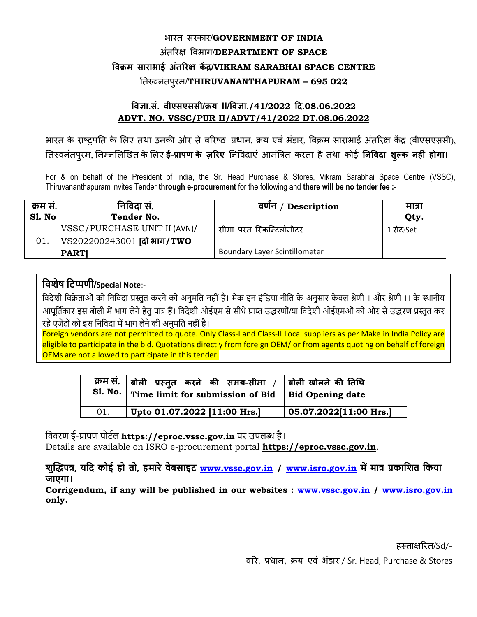## भारत सरकार/**GOVERNMENT OF INDIA** अंतररऺ विभाग/**DEPARTMENT OF SPACE विक्रम साराभाई अंतररऺ कें द्र/VIKRAM SARABHAI SPACE CENTRE** ततरुिनतं ऩरुम/**THIRUVANANTHAPURAM – 695 022**

## **विऻा.सं. िीएसएससी/क्रय II/विऻा./41/2022 दद.08.06.2022 ADVT. NO. VSSC/PUR II/ADVT/41/2022 DT.08.06.2022**

भारत के राष्ट्रपति के लिए तथा उनकी ओर से वरिष्ठ प्रधान, क्रय एवं भंडार, विक्रम साराभाई अंतरिक्ष केंद्र (वीएसएससी), ततरुिनतं ऩरुम, तनम्नलऱखित केलऱए **ई-प्रापण के ज़ररए** तनविदाएं आमंत्रित करता हैतथा कोई **निविदा शल्ुक िह ं होगा।**

For & on behalf of the President of India, the Sr. Head Purchase & Stores, Vikram Sarabhai Space Centre (VSSC), Thiruvananthapuram invites Tender **through e-procurement** for the following and **there will be no tender fee :-** 

| क्रम सं. | निविदा सं.                         | वर्णन / Description                  | मात्रा     |
|----------|------------------------------------|--------------------------------------|------------|
| Sl. No   | Tender No.                         |                                      | Qty.       |
|          | VSSC/PURCHASE UNIT II (AVN)/       | सीमा परत स्किन्टिलोमीटर              | 1 सेंट/Set |
| 01.      | $\vert$ VS202200243001 (दो भाग/TWO |                                      |            |
|          | <b>PARTI</b>                       | <b>Boundary Layer Scintillometer</b> |            |

## **दवशेष दटप्पर्ी/Special Note**:-

विदेशी विक्रेताओं को निविदा प्रस्तुत करने की अनुमति नहीं है। मेक इन इंडिया नीति के अनुसार केवल श्रेणी-। और श्रेणी-।। के स्थानीय आपूर्तिकार इस बोली में भाग लेने हेतु पात्र हैं। विदेशी ओईएम से सीधे प्राप्त उद्धरणों/या विदेशी ओईएमओं की ओर से उद्धरण प्रस्तुत कर रहे एजेंर्ों को इस वनविदा में भाग लेने की अनुमवत नहीं है।

Foreign vendors are not permitted to quote. Only Class-I and Class-II Local suppliers as per Make in India Policy are eligible to participate in the bid. Quotations directly from foreign OEM/ or from agents quoting on behalf of foreign OEMs are not allowed to participate in this tender.

| <b>S1. No.</b> | क्रम सं.   बोली  प्रस्तुत  करने  की  समय-सीमा  /   बोली खोलने की तिथि<br>Time limit for submission of Bid $\vert$ Bid Opening date |                                        |
|----------------|------------------------------------------------------------------------------------------------------------------------------------|----------------------------------------|
| 01.            | Upto 01.07.2022 [11:00 Hrs.]                                                                                                       | $\vert$ 05.07.2022 $\vert$ 11:00 Hrs.] |

वििरण ई-प्रापण पोर्टल **https://eproc.vssc.gov.in** पर उपलब्ध है।

Details are available on ISRO e-procurement portal **https://eproc.vssc.gov.in**.

**शुद्धिपत्र, यदि कोई हो तो, हमारे वेबसाइट [www.vssc.gov.in](http://www.vssc.gov.in/) / [www.isro.gov.in](http://www.isro.gov.in/) में मात्र प्रकादशत दकया जाएगा।**

**Corrigendum, if any will be published in our websites : [www.vssc.gov.in](http://www.vssc.gov.in/) / [www.isro.gov.in](http://www.isro.gov.in/) only.**

हस्ताक्षरित/Sd/-

िरर. प्रधान, क्रय एिं भंडार / Sr. Head, Purchase & Stores